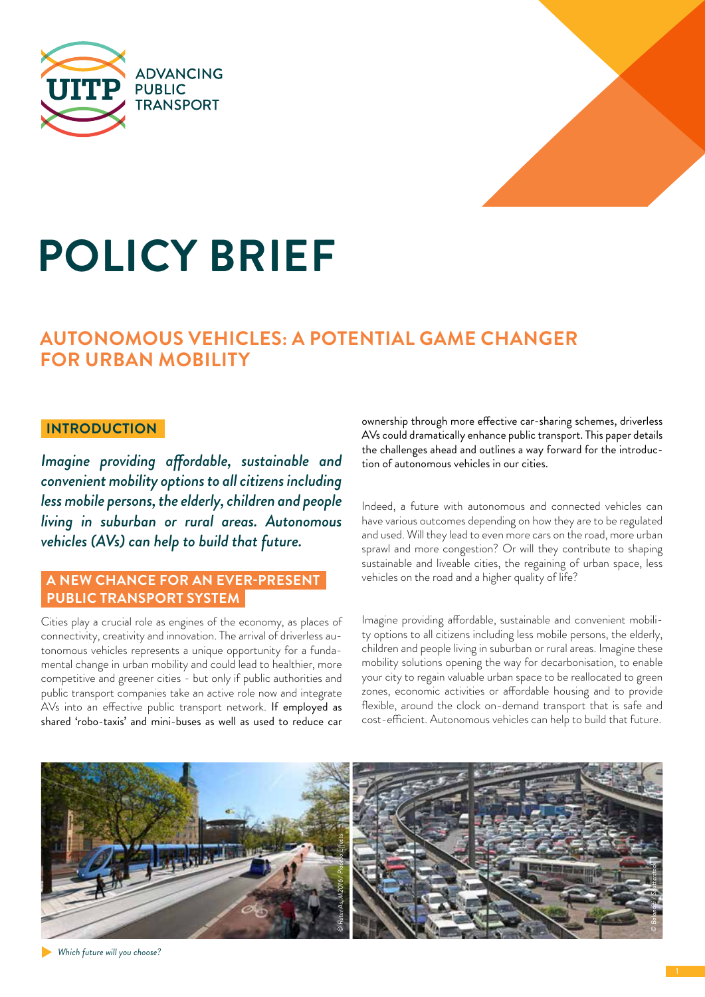



# **Policy brief**

# **Autonomous vehicles: a potential game changer for urban mobility**

# **introduction**

*Imagine providing affordable, sustainable and convenient mobility options to all citizens including less mobile persons, the elderly, children and people living in suburban or rural areas. Autonomous vehicles (AVs) can help to build that future.*

# **A new chance for an ever-present public transport system**

Cities play a crucial role as engines of the economy, as places of connectivity, creativity and innovation. The arrival of driverless autonomous vehicles represents a unique opportunity for a fundamental change in urban mobility and could lead to healthier, more competitive and greener cities - but only if public authorities and public transport companies take an active role now and integrate AVs into an effective public transport network. If employed as shared 'robo-taxis' and mini-buses as well as used to reduce car

ownership through more effective car-sharing schemes, driverless AVs could dramatically enhance public transport. This paper details the challenges ahead and outlines a way forward for the introduction of autonomous vehicles in our cities.

Indeed, a future with autonomous and connected vehicles can have various outcomes depending on how they are to be regulated and used. Will they lead to even more cars on the road, more urban sprawl and more congestion? Or will they contribute to shaping sustainable and liveable cities, the regaining of urban space, less vehicles on the road and a higher quality of life?

Imagine providing affordable, sustainable and convenient mobility options to all citizens including less mobile persons, the elderly, children and people living in suburban or rural areas. Imagine these mobility solutions opening the way for decarbonisation, to enable your city to regain valuable urban space to be reallocated to green zones, economic activities or affordable housing and to provide flexible, around the clock on-demand transport that is safe and cost-efficient. Autonomous vehicles can help to build that future.

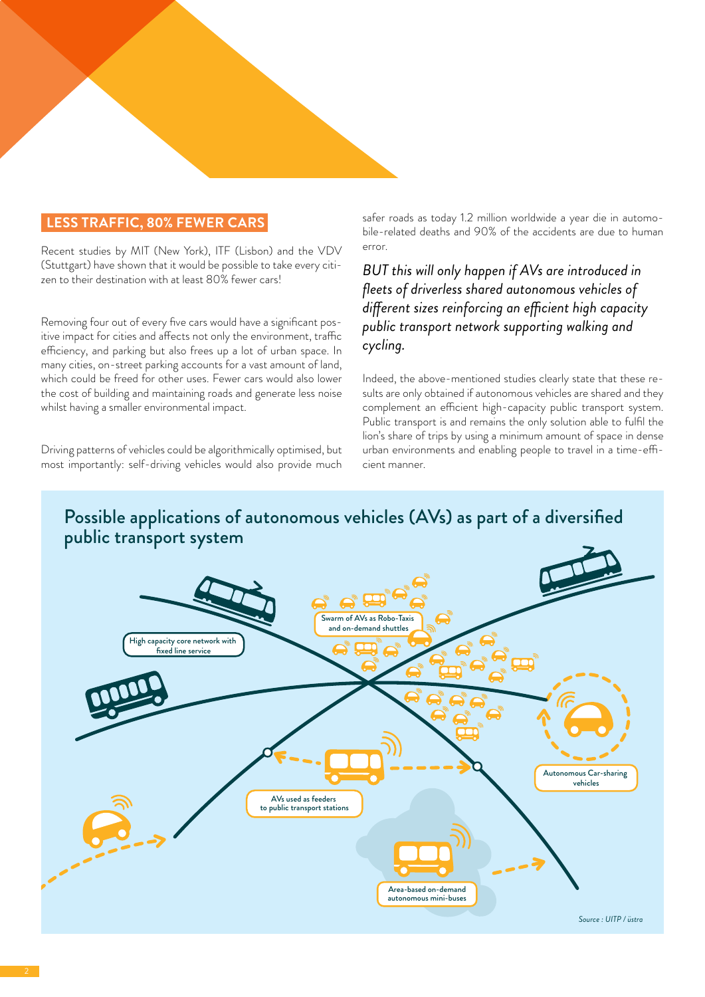### **Less traffic, 80% fewer cars**

Recent studies by MIT (New York), ITF (Lisbon) and the VDV (Stuttgart) have shown that it would be possible to take every citizen to their destination with at least 80% fewer cars!

Removing four out of every five cars would have a significant positive impact for cities and affects not only the environment, traffic efficiency, and parking but also frees up a lot of urban space. In many cities, on-street parking accounts for a vast amount of land, which could be freed for other uses. Fewer cars would also lower the cost of building and maintaining roads and generate less noise whilst having a smaller environmental impact.

Driving patterns of vehicles could be algorithmically optimised, but most importantly: self-driving vehicles would also provide much safer roads as today 1.2 million worldwide a year die in automobile-related deaths and 90% of the accidents are due to human error.

*BUT this will only happen if AVs are introduced in fleets of driverless shared autonomous vehicles of different sizes reinforcing an efficient high capacity public transport network supporting walking and cycling.* 

Indeed, the above-mentioned studies clearly state that these results are only obtained if autonomous vehicles are shared and they complement an efficient high-capacity public transport system. Public transport is and remains the only solution able to fulfil the lion's share of trips by using a minimum amount of space in dense urban environments and enabling people to travel in a time-efficient manner.

# Possible applications of autonomous vehicles (AVs) as part of a diversified public transport system

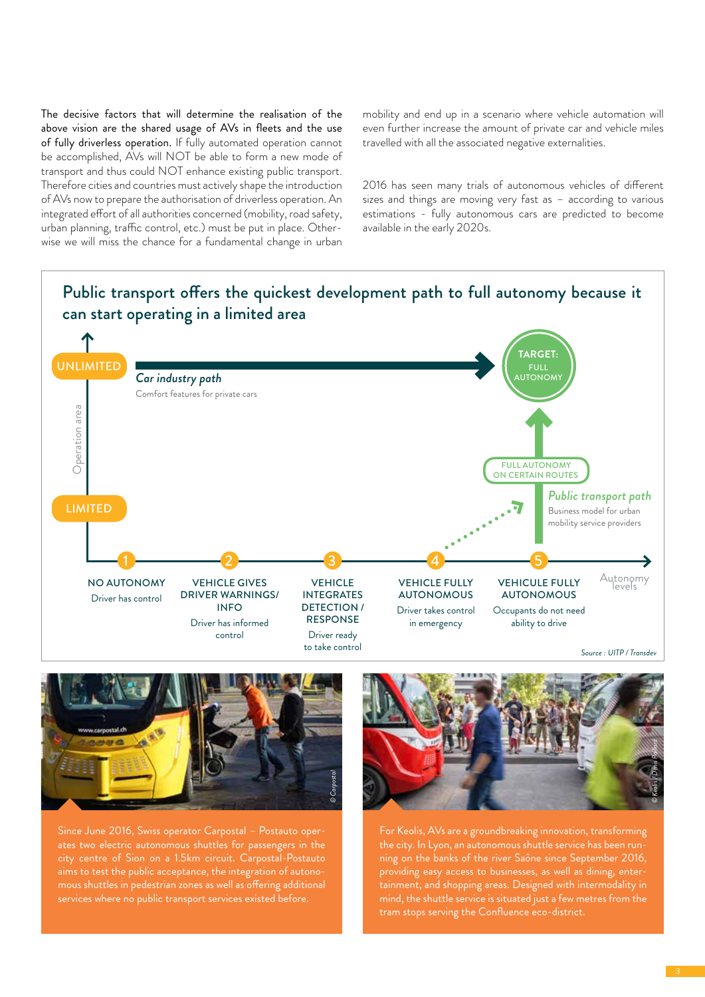The decisive factors that will determine the realisation of the above vision are the shared usage of AVs in fleets and the use of fully driverless operation. If fully automated operation cannot be accomplished, AVs will NOT be able to form a new mode of transport and thus could NOT enhance existing public transport. Therefore cities and countries must actively shape the introduction of AVs now to prepare the authorisation of driverless operation. An integrated effort of all authorities concerned (mobility, road safety, urban planning, traffic control, etc.) must be put in place. Otherwise we will miss the chance for a fundamental change in urban

mobility and end up in a scenario where vehicle automation will even further increase the amount of private car and vehicle miles travelled with all the associated negative externalities.

2016 has seen many trials of autonomous vehicles of different sizes and things are moving very fast as – according to various estimations - fully autonomous cars are predicted to become available in the early 2020s.





Since June 2016, Swiss operator Carpostal – Postauto operates two electric autonomous shuttles for passengers in the aims to test the public acceptance, the integration of autonomous shuttles in pedestrian zones as well as offering additional services where no public transport services existed before.



For Keolis, AVs are a groundbreaking innovation, transforming ning on the banks of the river Saône since September 2016, providing easy access to businesses, as well as dining, entertainment, and shopping areas. Designed with intermodality in mind, the shuttle service is situated just a few metres from the tram stops serving the Confluence eco-district.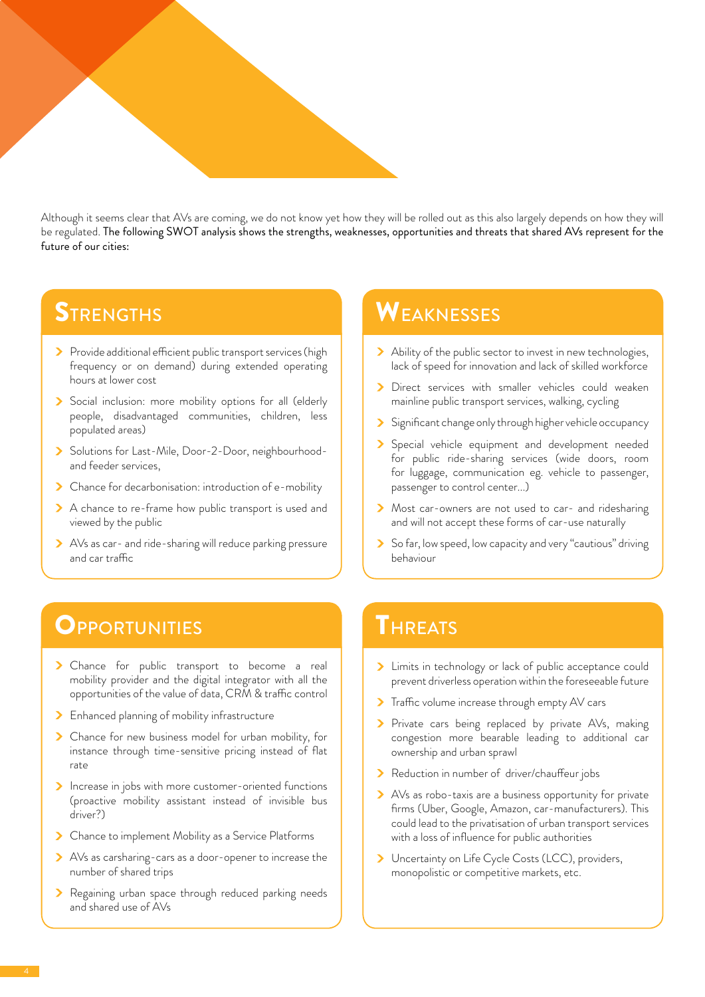Although it seems clear that AVs are coming, we do not know yet how they will be rolled out as this also largely depends on how they will be regulated. The following SWOT analysis shows the strengths, weaknesses, opportunities and threats that shared AVs represent for the future of our cities:

- Provide additional efficient public transport services (high frequency or on demand) during extended operating hours at lower cost
- Social inclusion: more mobility options for all (elderly people, disadvantaged communities, children, less populated areas)
- > Solutions for Last-Mile, Door-2-Door, neighbourhoodand feeder services,
- > Chance for decarbonisation: introduction of e-mobility
- > A chance to re-frame how public transport is used and viewed by the public
- > AVs as car- and ride-sharing will reduce parking pressure and car traffic

# STRENGTHS WEAKNESSES

- > Ability of the public sector to invest in new technologies, lack of speed for innovation and lack of skilled workforce
- > Direct services with smaller vehicles could weaken mainline public transport services, walking, cycling
- Significant change only through higher vehicle occupancy
- > Special vehicle equipment and development needed for public ride-sharing services (wide doors, room for luggage, communication eg. vehicle to passenger, passenger to control center...)
- > Most car-owners are not used to car- and ridesharing and will not accept these forms of car-use naturally
- So far, low speed, low capacity and very "cautious" driving behaviour

# OPPORTUNITIES **THREATS**

- > Chance for public transport to become a real mobility provider and the digital integrator with all the opportunities of the value of data, CRM & traffic control
- > Enhanced planning of mobility infrastructure
- > Chance for new business model for urban mobility, for instance through time-sensitive pricing instead of flat rate
- Increase in jobs with more customer-oriented functions (proactive mobility assistant instead of invisible bus driver?)
- > Chance to implement Mobility as a Service Platforms
- > AVs as carsharing-cars as a door-opener to increase the number of shared trips
- > Regaining urban space through reduced parking needs and shared use of AVs

- > Limits in technology or lack of public acceptance could prevent driverless operation within the foreseeable future
- > Traffic volume increase through empty AV cars
- > Private cars being replaced by private AVs, making congestion more bearable leading to additional car ownership and urban sprawl
- Reduction in number of driver/chauffeur jobs
- > AVs as robo-taxis are a business opportunity for private firms (Uber, Google, Amazon, car-manufacturers). This could lead to the privatisation of urban transport services with a loss of influence for public authorities
- > Uncertainty on Life Cycle Costs (LCC), providers, monopolistic or competitive markets, etc.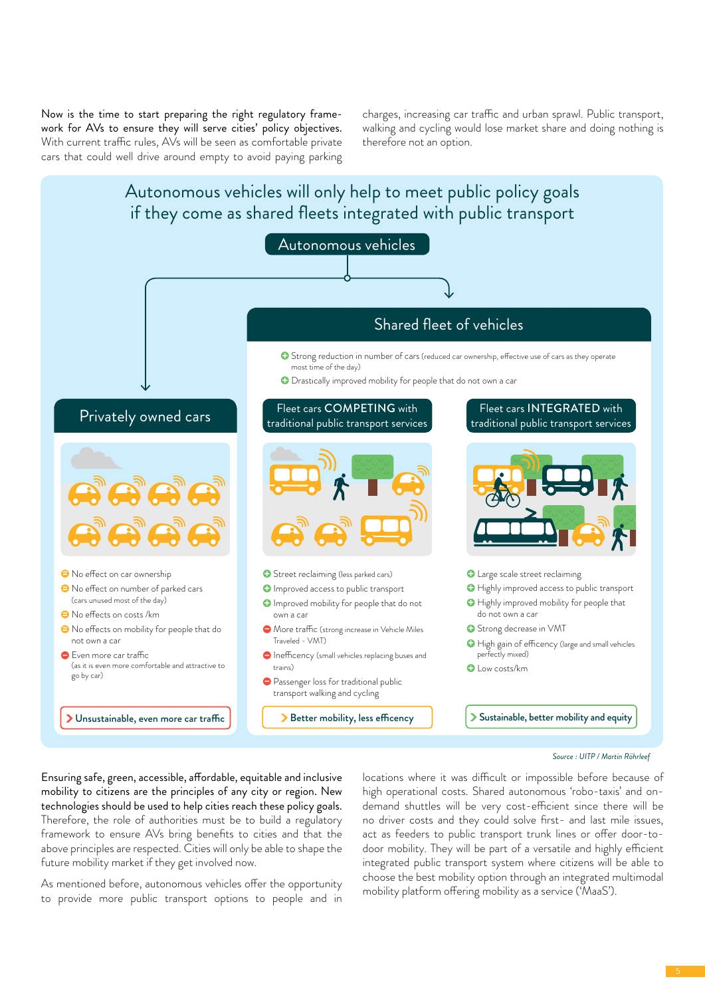Now is the time to start preparing the right regulatory framework for AVs to ensure they will serve cities' policy objectives. With current traffic rules, AVs will be seen as comfortable private cars that could well drive around empty to avoid paying parking charges, increasing car traffic and urban sprawl. Public transport, walking and cycling would lose market share and doing nothing is therefore not an option.



*Source : UITP / Martin Röhrleef* 

Ensuring safe, green, accessible, affordable, equitable and inclusive mobility to citizens are the principles of any city or region. New technologies should be used to help cities reach these policy goals. Therefore, the role of authorities must be to build a regulatory framework to ensure AVs bring benefits to cities and that the above principles are respected. Cities will only be able to shape the future mobility market if they get involved now.

As mentioned before, autonomous vehicles offer the opportunity to provide more public transport options to people and in

locations where it was difficult or impossible before because of high operational costs. Shared autonomous 'robo-taxis' and ondemand shuttles will be very cost-efficient since there will be no driver costs and they could solve first- and last mile issues, act as feeders to public transport trunk lines or offer door-todoor mobility. They will be part of a versatile and highly efficient integrated public transport system where citizens will be able to choose the best mobility option through an integrated multimodal mobility platform offering mobility as a service ('MaaS').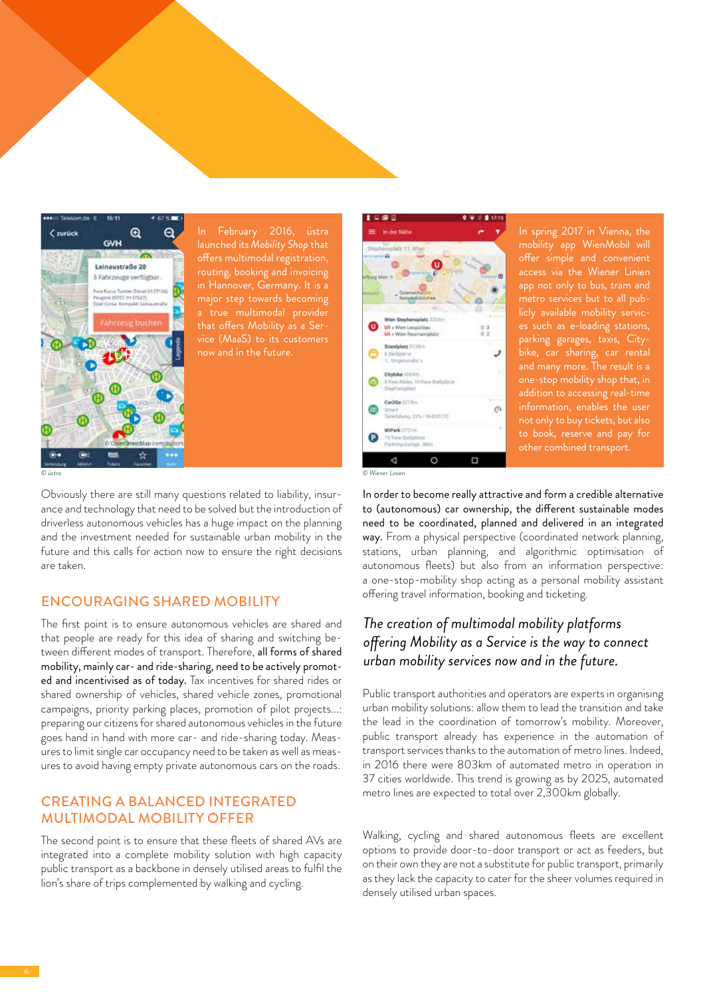

In February 2016, üstra launched its *Mobility Shop* that offers multimodal registration, routing, booking and invoicing in Hannover, Germany. It is a major step towards becoming that offers Mobility as a Service (MaaS) to its customers now and in the future.



In spring 2017 in Vienna, the mobility app WienMobil will offer simple and convenient app not only to bus, tram and licly available mobility services such as e-loading stations, parking garages, taxis, Citybike, car sharing, car rental one-stop mobility shop that, in addition to accessing real-time to book, reserve and pay for other combined transport.

Obviously there are still many questions related to liability, insurance and technology that need to be solved but the introduction of driverless autonomous vehicles has a huge impact on the planning and the investment needed for sustainable urban mobility in the future and this calls for action now to ensure the right decisions are taken.

# Encouraging shared mobility

The first point is to ensure autonomous vehicles are shared and that people are ready for this idea of sharing and switching between different modes of transport. Therefore, all forms of shared mobility, mainly car- and ride-sharing, need to be actively promoted and incentivised as of today. Tax incentives for shared rides or shared ownership of vehicles, shared vehicle zones, promotional campaigns, priority parking places, promotion of pilot projects...: preparing our citizens for shared autonomous vehicles in the future goes hand in hand with more car- and ride-sharing today. Measures to limit single car occupancy need to be taken as well as measures to avoid having empty private autonomous cars on the roads.

# Creating a balanced integrated multimodal mobility offer

The second point is to ensure that these fleets of shared AVs are integrated into a complete mobility solution with high capacity public transport as a backbone in densely utilised areas to fulfil the lion's share of trips complemented by walking and cycling.

*© üstra © Wiener Linien*

In order to become really attractive and form a credible alternative to (autonomous) car ownership, the different sustainable modes need to be coordinated, planned and delivered in an integrated way. From a physical perspective (coordinated network planning, stations, urban planning, and algorithmic optimisation of autonomous fleets) but also from an information perspective: a one-stop-mobility shop acting as a personal mobility assistant offering travel information, booking and ticketing.

# *The creation of multimodal mobility platforms offering Mobility as a Service is the way to connect urban mobility services now and in the future.*

Public transport authorities and operators are experts in organising urban mobility solutions: allow them to lead the transition and take the lead in the coordination of tomorrow's mobility. Moreover, public transport already has experience in the automation of transport services thanks to the automation of metro lines. Indeed, in 2016 there were 803km of automated metro in operation in 37 cities worldwide. This trend is growing as by 2025, automated metro lines are expected to total over 2,300km globally.

Walking, cycling and shared autonomous fleets are excellent options to provide door-to-door transport or act as feeders, but on their own they are not a substitute for public transport, primarily as they lack the capacity to cater for the sheer volumes required in densely utilised urban spaces.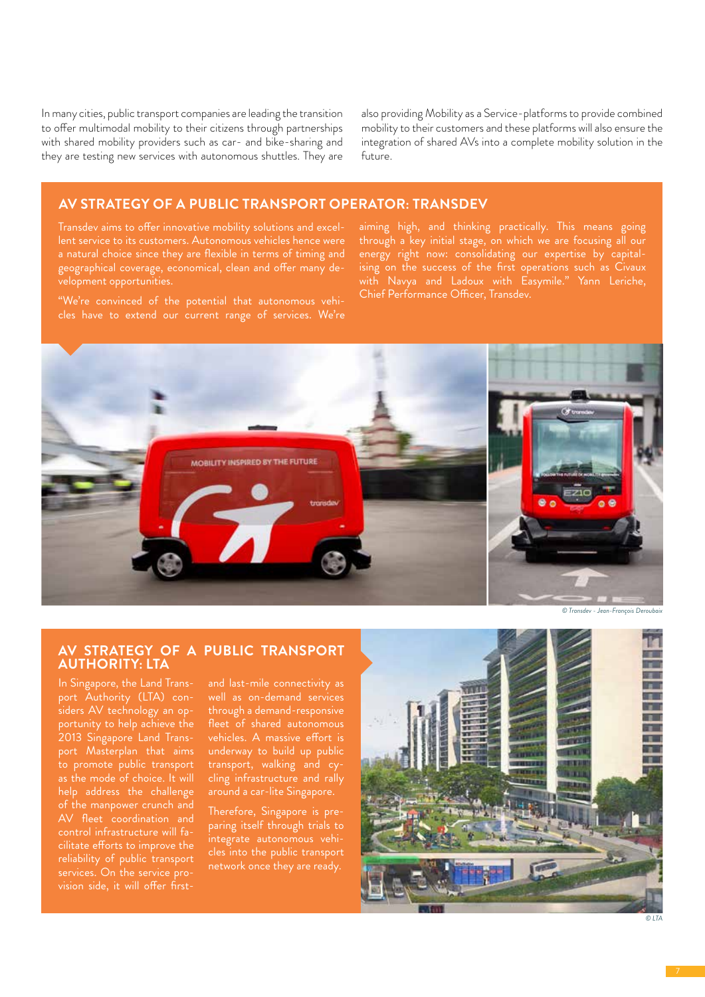In many cities, public transport companies are leading the transition to offer multimodal mobility to their citizens through partnerships with shared mobility providers such as car- and bike-sharing and they are testing new services with autonomous shuttles. They are

also providing Mobility as a Service-platforms to provide combined mobility to their customers and these platforms will also ensure the integration of shared AVs into a complete mobility solution in the future.

### **AV strategy of a public transport operator: Transdev**

a natural choice since they are flexible in terms of timing and geographical coverage, economical, clean and offer many development opportunities.

"We're convinced of the potential that autonomous vehicles have to extend our current range of services. We're

aiming high, and thinking practically. This means going through a key initial stage, on which we are focusing all our energy right now: consolidating our expertise by capitalising on the success of the first operations such as Civaux with Navya and Ladoux with Easymile." Yann Leriche, Chief Performance Officer, Transdev.



*© Transdev - Jean-François Deroubaix*

### **AV strategy of a public transport authority: LTA**

In Singapore, the Land Transport Authority (LTA) considers AV technology an opportunity to help achieve the 2013 Singapore Land Transport Masterplan that aims to promote public transport help address the challenge of the manpower crunch and cilitate efforts to improve the reliability of public transport

through a demand-responsive cling infrastructure and rally around a car-lite Singapore.

Therefore, Singapore is preparing itself through trials to integrate autonomous vehicles into the public transport network once they are ready.